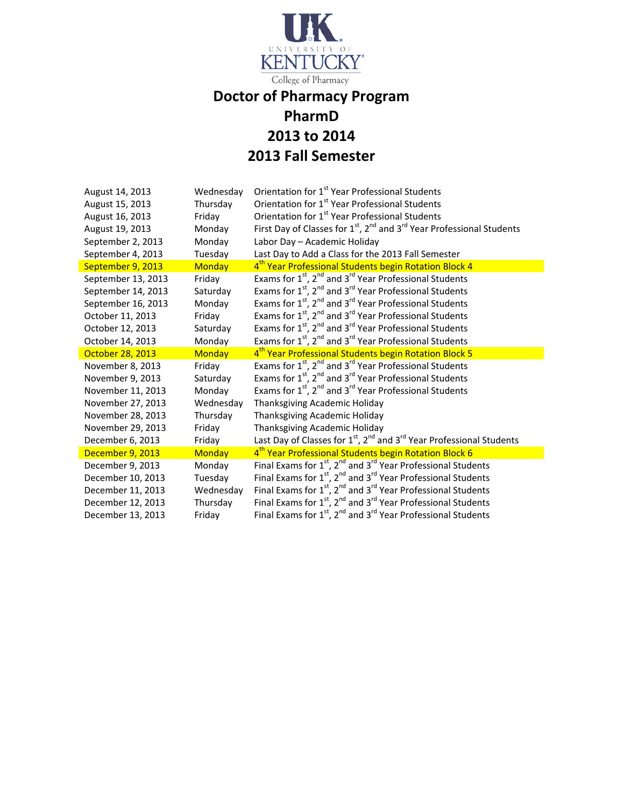

## **Doctor of Pharmacy Program PharmD 2013 to 2014 2013 Fall Semester**

| August 14, 2013    | Wednesday     | Orientation for 1 <sup>st</sup> Year Professional Students                                 |
|--------------------|---------------|--------------------------------------------------------------------------------------------|
| August 15, 2013    | Thursday      | Orientation for 1 <sup>st</sup> Year Professional Students                                 |
| August 16, 2013    | Friday        | Orientation for 1 <sup>st</sup> Year Professional Students                                 |
| August 19, 2013    | Monday        | First Day of Classes for $1^{st}$ , $2^{nd}$ and $3^{rd}$ Year Professional Students       |
| September 2, 2013  | Monday        | Labor Day - Academic Holiday                                                               |
| September 4, 2013  | Tuesday       | Last Day to Add a Class for the 2013 Fall Semester                                         |
| September 9, 2013  | <b>Monday</b> | 4 <sup>th</sup> Year Professional Students begin Rotation Block 4                          |
| September 13, 2013 | Friday        | Exams for $1^{st}$ , $2^{nd}$ and $3^{rd}$ Year Professional Students                      |
| September 14, 2013 | Saturday      | Exams for 1 <sup>st</sup> , 2 <sup>nd</sup> and 3 <sup>rd</sup> Year Professional Students |
| September 16, 2013 | Monday        | Exams for 1 <sup>st</sup> , 2 <sup>nd</sup> and 3 <sup>rd</sup> Year Professional Students |
| October 11, 2013   | Friday        | Exams for 1 <sup>st</sup> , 2 <sup>nd</sup> and 3 <sup>rd</sup> Year Professional Students |
| October 12, 2013   | Saturday      | Exams for 1 <sup>st</sup> , 2 <sup>nd</sup> and 3 <sup>rd</sup> Year Professional Students |
| October 14, 2013   | Monday        | Exams for $1^{st}$ , $2^{nd}$ and $3^{rd}$ Year Professional Students                      |
| October 28, 2013   | <b>Monday</b> | 4 <sup>th</sup> Year Professional Students begin Rotation Block 5                          |
| November 8, 2013   | Friday        | Exams for $1^{st}$ , $2^{nd}$ and $3^{rd}$ Year Professional Students                      |
| November 9, 2013   | Saturday      | Exams for $1^{st}$ , $2^{nd}$ and $3^{rd}$ Year Professional Students                      |
| November 11, 2013  | Monday        | Exams for $1^{st}$ , $2^{nd}$ and $3^{rd}$ Year Professional Students                      |
| November 27, 2013  | Wednesday     | Thanksgiving Academic Holiday                                                              |
| November 28, 2013  | Thursday      | Thanksgiving Academic Holiday                                                              |
| November 29, 2013  | Friday        | Thanksgiving Academic Holiday                                                              |
| December 6, 2013   | Friday        | Last Day of Classes for $1^{st}$ , $2^{nd}$ and $3^{rd}$ Year Professional Students        |
| December 9, 2013   | <b>Monday</b> | 4 <sup>th</sup> Year Professional Students begin Rotation Block 6                          |
| December 9, 2013   | Monday        | Final Exams for $1st$ , $2nd$ and $3rd$ Year Professional Students                         |
| December 10, 2013  | Tuesday       | Final Exams for 1st, 2 <sup>nd</sup> and 3 <sup>rd</sup> Year Professional Students        |
| December 11, 2013  | Wednesday     | Final Exams for $1st$ , $2nd$ and $3rd$ Year Professional Students                         |
| December 12, 2013  | Thursday      | Final Exams for $1st$ , $2nd$ and $3rd$ Year Professional Students                         |
| December 13, 2013  | Friday        | Final Exams for $1^{st}$ , $2^{nd}$ and $3^{rd}$ Year Professional Students                |